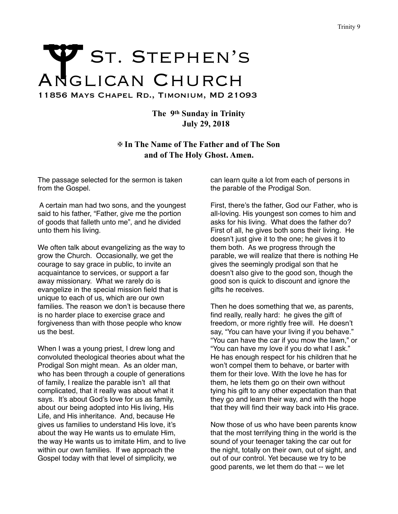## Trinity 9<br>
ANGLICAN CHURCH 11856 Mays Chapel Rd., Timonium, MD 21093

**The 9th Sunday in Trinity July 29, 2018** 

✠ **In The Name of The Father and of The Son and of The Holy Ghost. Amen.** 

The passage selected for the sermon is taken from the Gospel.

 A certain man had two sons, and the youngest said to his father, "Father, give me the portion of goods that falleth unto me", and he divided unto them his living.

We often talk about evangelizing as the way to grow the Church. Occasionally, we get the courage to say grace in public, to invite an acquaintance to services, or support a far away missionary. What we rarely do is evangelize in the special mission field that is unique to each of us, which are our own families. The reason we don't is because there is no harder place to exercise grace and forgiveness than with those people who know us the best.

When I was a young priest, I drew long and convoluted theological theories about what the Prodigal Son might mean. As an older man, who has been through a couple of generations of family, I realize the parable isn't all that complicated, that it really was about what it says. It's about God's love for us as family, about our being adopted into His living, His Life, and His inheritance. And, because He gives us families to understand His love, it's about the way He wants us to emulate Him, the way He wants us to imitate Him, and to live within our own families. If we approach the Gospel today with that level of simplicity, we

can learn quite a lot from each of persons in the parable of the Prodigal Son.

First, there's the father, God our Father, who is all-loving. His youngest son comes to him and asks for his living. What does the father do? First of all, he gives both sons their living. He doesn't just give it to the one; he gives it to them both. As we progress through the parable, we will realize that there is nothing He gives the seemingly prodigal son that he doesn't also give to the good son, though the good son is quick to discount and ignore the gifts he receives.

Then he does something that we, as parents, find really, really hard: he gives the gift of freedom, or more rightly free will. He doesn't say, "You can have your living if you behave." "You can have the car if you mow the lawn," or "You can have my love if you do what I ask." He has enough respect for his children that he won't compel them to behave, or barter with them for their love. With the love he has for them, he lets them go on their own without tying his gift to any other expectation than that they go and learn their way, and with the hope that they will find their way back into His grace.

Now those of us who have been parents know that the most terrifying thing in the world is the sound of your teenager taking the car out for the night, totally on their own, out of sight, and out of our control. Yet because we try to be good parents, we let them do that -- we let